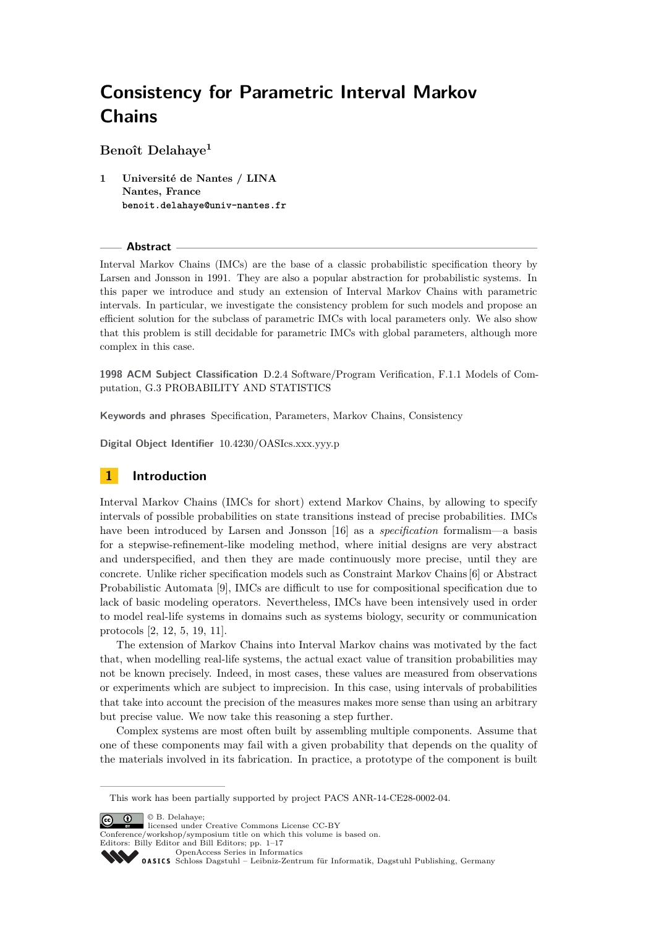**Benoît Delahaye<sup>1</sup>**

**1 Université de Nantes / LINA Nantes, France benoit.delahaye@univ-nantes.fr**

#### **Abstract**

Interval Markov Chains (IMCs) are the base of a classic probabilistic specification theory by Larsen and Jonsson in 1991. They are also a popular abstraction for probabilistic systems. In this paper we introduce and study an extension of Interval Markov Chains with parametric intervals. In particular, we investigate the consistency problem for such models and propose an efficient solution for the subclass of parametric IMCs with local parameters only. We also show that this problem is still decidable for parametric IMCs with global parameters, although more complex in this case.

**1998 ACM Subject Classification** D.2.4 Software/Program Verification, F.1.1 Models of Computation, G.3 PROBABILITY AND STATISTICS

**Keywords and phrases** Specification, Parameters, Markov Chains, Consistency

**Digital Object Identifier** [10.4230/OASIcs.xxx.yyy.p](http://dx.doi.org/10.4230/OASIcs.xxx.yyy.p)

# **1 Introduction**

Interval Markov Chains (IMCs for short) extend Markov Chains, by allowing to specify intervals of possible probabilities on state transitions instead of precise probabilities. IMCs have been introduced by Larsen and Jonsson [\[16\]](#page-12-0) as a *specification* formalism—a basis for a stepwise-refinement-like modeling method, where initial designs are very abstract and underspecified, and then they are made continuously more precise, until they are concrete. Unlike richer specification models such as Constraint Markov Chains [\[6\]](#page-11-0) or Abstract Probabilistic Automata [\[9\]](#page-12-1), IMCs are difficult to use for compositional specification due to lack of basic modeling operators. Nevertheless, IMCs have been intensively used in order to model real-life systems in domains such as systems biology, security or communication protocols [\[2,](#page-11-1) [12,](#page-12-2) [5,](#page-11-2) [19,](#page-12-3) [11\]](#page-12-4).

The extension of Markov Chains into Interval Markov chains was motivated by the fact that, when modelling real-life systems, the actual exact value of transition probabilities may not be known precisely. Indeed, in most cases, these values are measured from observations or experiments which are subject to imprecision. In this case, using intervals of probabilities that take into account the precision of the measures makes more sense than using an arbitrary but precise value. We now take this reasoning a step further.

Complex systems are most often built by assembling multiple components. Assume that one of these components may fail with a given probability that depends on the quality of the materials involved in its fabrication. In practice, a prototype of the component is built

© B. Delahaye;  $\boxed{6}$  0

licensed under Creative Commons License CC-BY

Conference/workshop/symposium title on which this volume is based on.

Editors: Billy Editor and Bill Editors; pp. 1–17

[OpenAccess Series in Informatics](http://www.dagstuhl.de/oasics/)

This work has been partially supported by project PACS ANR-14-CE28-0002-04.

[Schloss Dagstuhl – Leibniz-Zentrum für Informatik, Dagstuhl Publishing, Germany](http://www.dagstuhl.de/)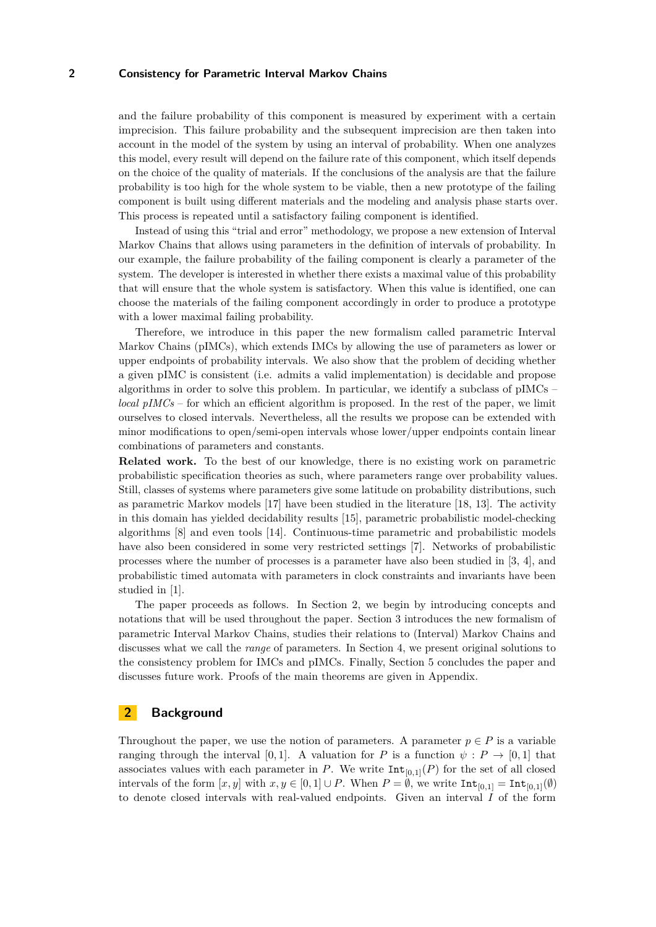and the failure probability of this component is measured by experiment with a certain imprecision. This failure probability and the subsequent imprecision are then taken into account in the model of the system by using an interval of probability. When one analyzes this model, every result will depend on the failure rate of this component, which itself depends on the choice of the quality of materials. If the conclusions of the analysis are that the failure probability is too high for the whole system to be viable, then a new prototype of the failing component is built using different materials and the modeling and analysis phase starts over. This process is repeated until a satisfactory failing component is identified.

Instead of using this "trial and error" methodology, we propose a new extension of Interval Markov Chains that allows using parameters in the definition of intervals of probability. In our example, the failure probability of the failing component is clearly a parameter of the system. The developer is interested in whether there exists a maximal value of this probability that will ensure that the whole system is satisfactory. When this value is identified, one can choose the materials of the failing component accordingly in order to produce a prototype with a lower maximal failing probability.

Therefore, we introduce in this paper the new formalism called parametric Interval Markov Chains (pIMCs), which extends IMCs by allowing the use of parameters as lower or upper endpoints of probability intervals. We also show that the problem of deciding whether a given pIMC is consistent (i.e. admits a valid implementation) is decidable and propose algorithms in order to solve this problem. In particular, we identify a subclass of pIMCs – *local pIMCs* – for which an efficient algorithm is proposed. In the rest of the paper, we limit ourselves to closed intervals. Nevertheless, all the results we propose can be extended with minor modifications to open/semi-open intervals whose lower/upper endpoints contain linear combinations of parameters and constants.

**Related work.** To the best of our knowledge, there is no existing work on parametric probabilistic specification theories as such, where parameters range over probability values. Still, classes of systems where parameters give some latitude on probability distributions, such as parametric Markov models [\[17\]](#page-12-5) have been studied in the literature [\[18,](#page-12-6) [13\]](#page-12-7). The activity in this domain has yielded decidability results [\[15\]](#page-12-8), parametric probabilistic model-checking algorithms [\[8\]](#page-11-3) and even tools [\[14\]](#page-12-9). Continuous-time parametric and probabilistic models have also been considered in some very restricted settings [\[7\]](#page-11-4). Networks of probabilistic processes where the number of processes is a parameter have also been studied in [\[3,](#page-11-5) [4\]](#page-11-6), and probabilistic timed automata with parameters in clock constraints and invariants have been studied in [\[1\]](#page-11-7).

The paper proceeds as follows. In Section 2, we begin by introducing concepts and notations that will be used throughout the paper. Section 3 introduces the new formalism of parametric Interval Markov Chains, studies their relations to (Interval) Markov Chains and discusses what we call the *range* of parameters. In Section 4, we present original solutions to the consistency problem for IMCs and pIMCs. Finally, Section 5 concludes the paper and discusses future work. Proofs of the main theorems are given in Appendix.

# **2 Background**

Throughout the paper, we use the notion of parameters. A parameter  $p \in P$  is a variable ranging through the interval [0,1]. A valuation for *P* is a function  $\psi$ :  $P \rightarrow [0,1]$  that associates values with each parameter in *P*. We write  $Int_{[0,1]}(P)$  for the set of all closed intervals of the form  $[x, y]$  with  $x, y \in [0, 1] \cup P$ . When  $P = \emptyset$ , we write  $\text{Int}_{[0,1]} = \text{Int}_{[0,1]}(\emptyset)$ to denote closed intervals with real-valued endpoints. Given an interval *I* of the form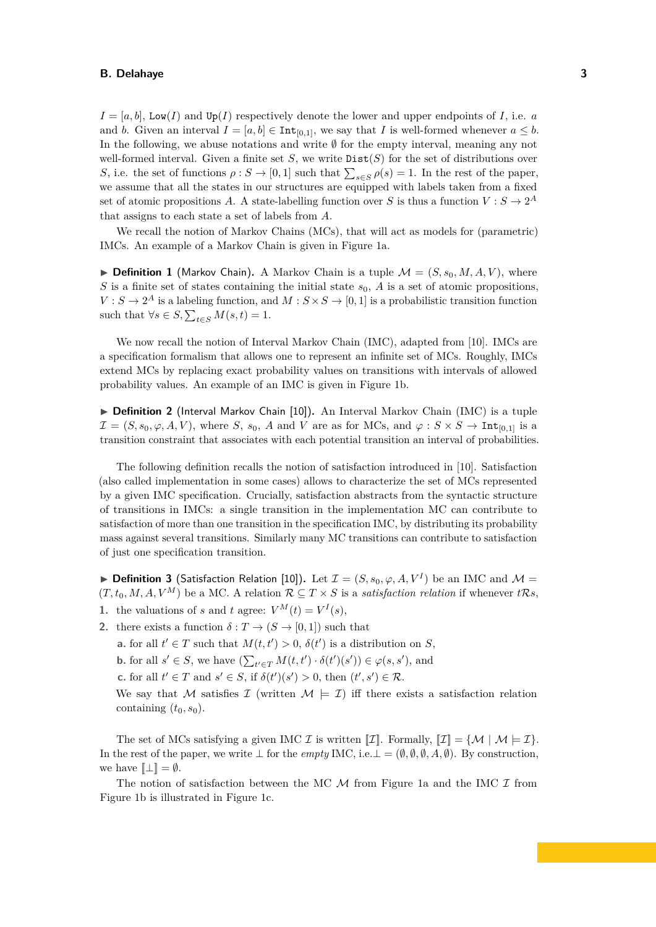$I = [a, b]$ , Low(*I*) and Up(*I*) respectively denote the lower and upper endpoints of *I*, i.e. *a* and *b*. Given an interval  $I = [a, b] \in \text{Int}_{[0,1]}$ , we say that *I* is well-formed whenever  $a \leq b$ . In the following, we abuse notations and write ∅ for the empty interval, meaning any not well-formed interval. Given a finite set *S*, we write  $Dist(S)$  for the set of distributions over *S*, i.e. the set of functions  $\rho$  : *S* → [0, 1] such that  $\sum_{s \in S} \rho(s) = 1$ . In the rest of the paper, we assume that all the states in our structures are equipped with labels taken from a fixed set of atomic propositions *A*. A state-labelling function over *S* is thus a function  $V : S \to 2^A$ that assigns to each state a set of labels from *A*.

We recall the notion of Markov Chains (MCs), that will act as models for (parametric) IMCs. An example of a Markov Chain is given in Figure [1a.](#page-3-0)

**Definition 1** (Markov Chain). A Markov Chain is a tuple  $\mathcal{M} = (S, s_0, M, A, V)$ , where *S* is a finite set of states containing the initial state  $s_0$ , *A* is a set of atomic propositions.  $V : S \to 2^A$  is a labeling function, and  $M : S \times S \to [0,1]$  is a probabilistic transition function such that  $\forall s \in S, \sum_{t \in S} M(s, t) = 1.$ 

We now recall the notion of Interval Markov Chain (IMC), adapted from [\[10\]](#page-12-10). IMCs are a specification formalism that allows one to represent an infinite set of MCs. Roughly, IMCs extend MCs by replacing exact probability values on transitions with intervals of allowed probability values. An example of an IMC is given in Figure [1b.](#page-3-1)

▶ Definition 2 (Interval Markov Chain [\[10\]](#page-12-10)). An Interval Markov Chain (IMC) is a tuple  $\mathcal{I} = (S, s_0, \varphi, A, V)$ , where *S*, *s*<sub>0</sub>, *A* and *V* are as for MCs, and  $\varphi : S \times S \to \text{Int}_{[0,1]}$  is a transition constraint that associates with each potential transition an interval of probabilities.

The following definition recalls the notion of satisfaction introduced in [\[10\]](#page-12-10). Satisfaction (also called implementation in some cases) allows to characterize the set of MCs represented by a given IMC specification. Crucially, satisfaction abstracts from the syntactic structure of transitions in IMCs: a single transition in the implementation MC can contribute to satisfaction of more than one transition in the specification IMC, by distributing its probability mass against several transitions. Similarly many MC transitions can contribute to satisfaction of just one specification transition.

<span id="page-2-0"></span>▶ **Definition 3** (Satisfaction Relation [\[10\]](#page-12-10)). Let  $\mathcal{I} = (S, s_0, \varphi, A, V^I)$  be an IMC and  $\mathcal{M} =$  $(T, t_0, M, A, V^M)$  be a MC. A relation  $\mathcal{R} \subseteq T \times S$  is a *satisfaction relation* if whenever  $t\mathcal{R}s$ ,

- **1.** the valuations of *s* and *t* agree:  $V^M(t) = V^I(s)$ ,
- **2.** there exists a function  $\delta: T \to (S \to [0, 1])$  such that

**a.** for all  $t' \in T$  such that  $M(t, t') > 0$ ,  $\delta(t')$  is a distribution on *S*,

**b.** for all  $s' \in S$ , we have  $\left(\sum_{t' \in T} M(t, t') \cdot \delta(t')(s')\right) \in \varphi(s, s')$ , and

**c.** for all  $t' \in T$  and  $s' \in S$ , if  $\delta(t')(s') > 0$ , then  $(t', s') \in \mathcal{R}$ .

We say that M satisfies I (written  $\mathcal{M} \models \mathcal{I}$ ) iff there exists a satisfaction relation containing  $(t_0, s_0)$ .

The set of MCs satisfying a given IMC  $\mathcal I$  is written  $[\![\mathcal I]\!]$ . Formally,  $[\![\mathcal I]\!] = {\mathcal M} \mid \mathcal M \models \mathcal I$ . In the rest of the paper, we write ⊥ for the *empty* IMC, i.e.⊥ =  $(\emptyset, \emptyset, \emptyset, A, \emptyset)$ . By construction, we have  $[\![\bot]\!] = \emptyset$ .

The notion of satisfaction between the MC  $\mathcal M$  from Figure [1a](#page-3-0) and the IMC  $\mathcal I$  from Figure [1b](#page-3-1) is illustrated in Figure [1c.](#page-3-2)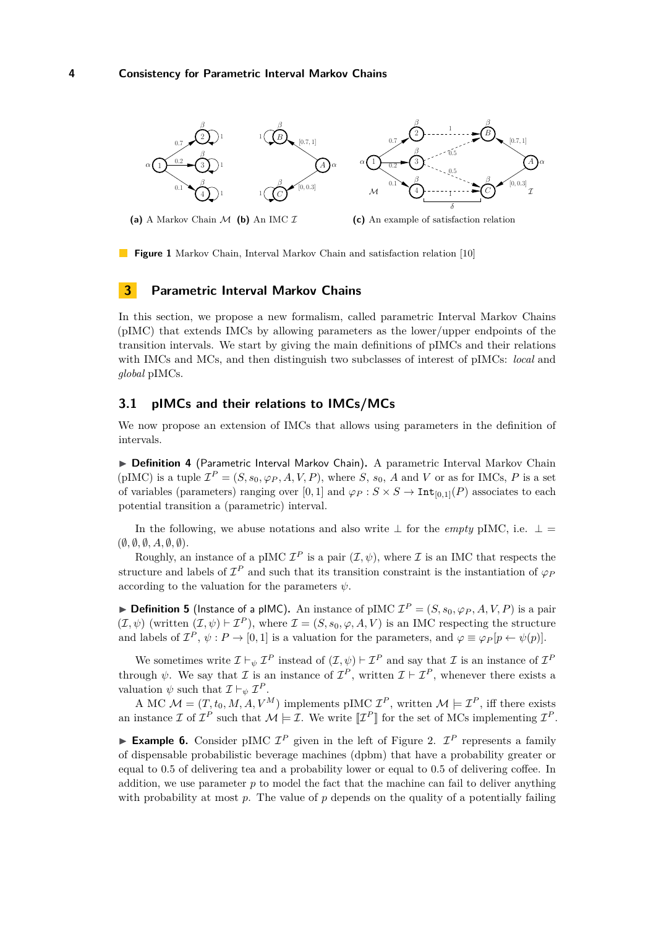<span id="page-3-0"></span>

<span id="page-3-1"></span>**(a)** A Markov Chain M **(b)** An IMC I

<span id="page-3-2"></span>**(c)** An example of satisfaction relation

**Figure 1** Markov Chain, Interval Markov Chain and satisfaction relation [\[10\]](#page-12-10)

## <span id="page-3-3"></span>**3 Parametric Interval Markov Chains**

In this section, we propose a new formalism, called parametric Interval Markov Chains (pIMC) that extends IMCs by allowing parameters as the lower/upper endpoints of the transition intervals. We start by giving the main definitions of pIMCs and their relations with IMCs and MCs, and then distinguish two subclasses of interest of pIMCs: *local* and *global* pIMCs.

## **3.1 pIMCs and their relations to IMCs/MCs**

We now propose an extension of IMCs that allows using parameters in the definition of intervals.

▶ Definition 4 (Parametric Interval Markov Chain). A parametric Interval Markov Chain (pIMC) is a tuple  $\mathcal{I}^P = (S, s_0, \varphi_P, A, V, P)$ , where *S*,  $s_0$ , *A* and *V* or as for IMCs, *P* is a set of variables (parameters) ranging over [0, 1] and  $\varphi_P : S \times S \to \text{Int}_{[0,1]}(P)$  associates to each potential transition a (parametric) interval.

In the following, we abuse notations and also write  $\perp$  for the *empty* pIMC, i.e.  $\perp$  = (∅*,* ∅*,* ∅*, A,* ∅*,* ∅).

Roughly, an instance of a pIMC  $\mathcal{I}^P$  is a pair  $(\mathcal{I}, \psi)$ , where  $\mathcal I$  is an IMC that respects the structure and labels of  $\mathcal{I}^P$  and such that its transition constraint is the instantiation of  $\varphi_P$ according to the valuation for the parameters *ψ*.

**Definition 5** (Instance of a pIMC). An instance of pIMC  $\mathcal{I}^P = (S, s_0, \varphi_P, A, V, P)$  is a pair  $(\mathcal{I}, \psi)$  (written  $(\mathcal{I}, \psi) \vdash \mathcal{I}^P$ ), where  $\mathcal{I} = (S, s_0, \varphi, A, V)$  is an IMC respecting the structure and labels of  $\mathcal{I}^P$ ,  $\psi: P \to [0,1]$  is a valuation for the parameters, and  $\varphi \equiv \varphi_P[p \leftarrow \psi(p)]$ .

We sometimes write  $\mathcal{I} \vdash_{\psi} \mathcal{I}^P$  instead of  $(\mathcal{I}, \psi) \vdash \mathcal{I}^P$  and say that  $\mathcal{I}$  is an instance of  $\mathcal{I}^P$ through  $\psi$ . We say that  $\mathcal I$  is an instance of  $\mathcal I^P$ , written  $\mathcal I \vdash \mathcal I^P$ , whenever there exists a valuation  $\psi$  such that  $\mathcal{I} \vdash_{\psi} \mathcal{I}^P$ .

A MC  $M = (T, t_0, M, A, V^M)$  implements pIMC  $\mathcal{I}^P$ , written  $\mathcal{M} \models \mathcal{I}^P$ , iff there exists an instance  $\mathcal I$  of  $\mathcal I^P$  such that  $\mathcal M \models \mathcal I$ . We write  $\llbracket \mathcal I^P \rrbracket$  for the set of MCs implementing  $\mathcal I^P$ .

**Example 6.** Consider pIMC  $\mathcal{I}^P$  given in the left of Figure [2.](#page-4-0)  $\mathcal{I}^P$  represents a family of dispensable probabilistic beverage machines (dpbm) that have a probability greater or equal to 0*.*5 of delivering tea and a probability lower or equal to 0*.*5 of delivering coffee. In addition, we use parameter *p* to model the fact that the machine can fail to deliver anything with probability at most  $p$ . The value of  $p$  depends on the quality of a potentially failing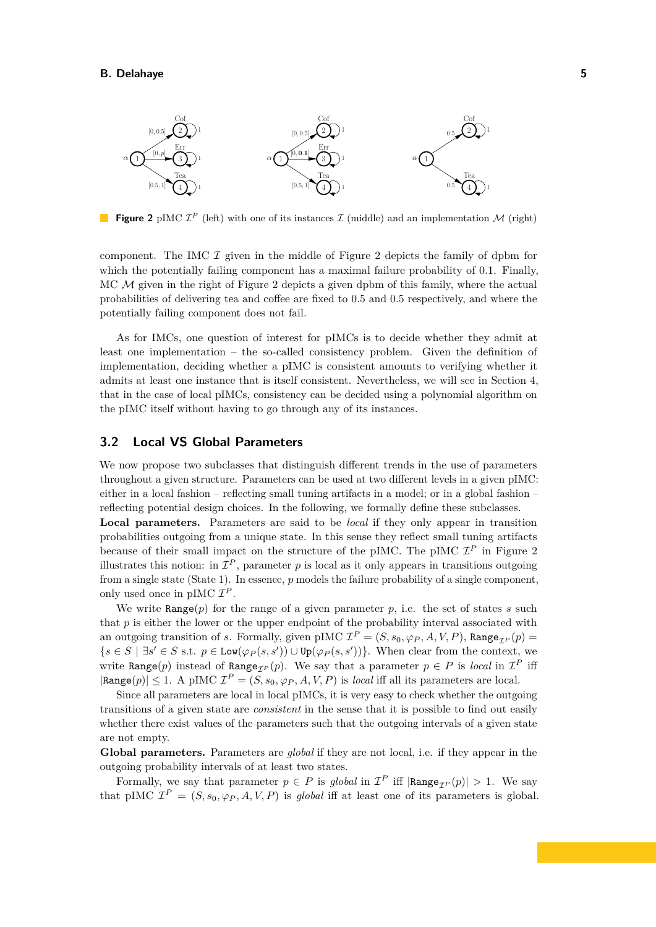<span id="page-4-0"></span>

**Figure 2** pIMC  $\mathcal{I}^P$  (left) with one of its instances  $\mathcal{I}$  (middle) and an implementation  $\mathcal{M}$  (right)

component. The IMC  $\mathcal I$  given in the middle of Figure [2](#page-4-0) depicts the family of dpbm for which the potentially failing component has a maximal failure probability of 0*.*1. Finally, MC  $\mathcal M$  given in the right of Figure [2](#page-4-0) depicts a given dpbm of this family, where the actual probabilities of delivering tea and coffee are fixed to 0*.*5 and 0*.*5 respectively, and where the potentially failing component does not fail.

As for IMCs, one question of interest for pIMCs is to decide whether they admit at least one implementation – the so-called consistency problem. Given the definition of implementation, deciding whether a pIMC is consistent amounts to verifying whether it admits at least one instance that is itself consistent. Nevertheless, we will see in Section [4,](#page-5-0) that in the case of local pIMCs, consistency can be decided using a polynomial algorithm on the pIMC itself without having to go through any of its instances.

## **3.2 Local VS Global Parameters**

We now propose two subclasses that distinguish different trends in the use of parameters throughout a given structure. Parameters can be used at two different levels in a given pIMC: either in a local fashion – reflecting small tuning artifacts in a model; or in a global fashion – reflecting potential design choices. In the following, we formally define these subclasses.

**Local parameters.** Parameters are said to be *local* if they only appear in transition probabilities outgoing from a unique state. In this sense they reflect small tuning artifacts because of their small impact on the structure of the pIMC. The pIMC  $\mathcal{I}^P$  in Figure [2](#page-4-0) illustrates this notion: in  $\mathcal{I}^P$ , parameter p is local as it only appears in transitions outgoing from a single state (State 1). In essence, *p* models the failure probability of a single component, only used once in pIMC  $\mathcal{I}^P$ .

We write  $\text{Range}(p)$  for the range of a given parameter p, i.e. the set of states *s* such that *p* is either the lower or the upper endpoint of the probability interval associated with an outgoing transition of *s*. Formally, given pIMC  $\mathcal{I}^P = (S, s_0, \varphi_P, A, V, P)$ , Range<sub> $\mathcal{I}^P(p) =$ </sub>  ${s \in S \mid \exists s' \in S \text{ s.t. } p \in \text{Low}(\varphi_P(s, s')) \cup \text{Up}(\varphi_P(s, s'))}.$  When clear from the context, we write Range(*p*) instead of Range<sub> $I$ </sub>  $p$ (*p*). We say that a parameter  $p \in P$  is *local* in  $I^P$  iff  $|\text{Range}(p)| \leq 1$ . A pIMC  $\mathcal{I}^P = (S, s_0, \varphi_P, A, V, P)$  is *local* iff all its parameters are local.

Since all parameters are local in local pIMCs, it is very easy to check whether the outgoing transitions of a given state are *consistent* in the sense that it is possible to find out easily whether there exist values of the parameters such that the outgoing intervals of a given state are not empty.

**Global parameters.** Parameters are *global* if they are not local, i.e. if they appear in the outgoing probability intervals of at least two states.

Formally, we say that parameter  $p \in P$  is global in  $\mathcal{I}^P$  iff  $|\text{Range}_{\mathcal{I}^P}(p)| > 1$ . We say that pIMC  $\mathcal{I}^P = (S, s_0, \varphi_P, A, V, P)$  is *global* iff at least one of its parameters is global.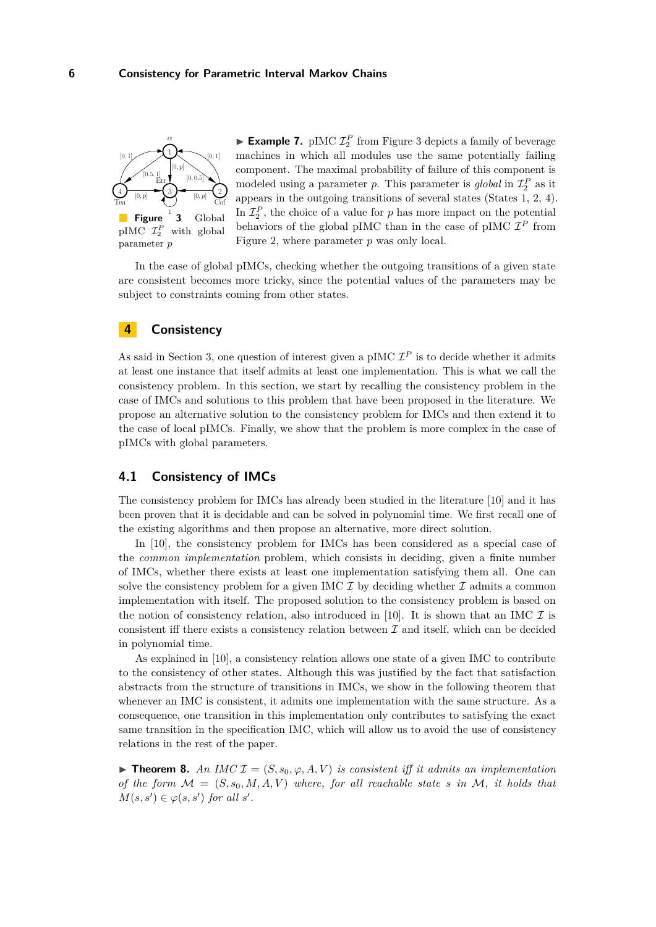<span id="page-5-1"></span>

parameter *p*

**Example 7.** pIMC  $\mathcal{I}_2^P$  from Figure [3](#page-5-1) depicts a family of beverage machines in which all modules use the same potentially failing component. The maximal probability of failure of this component is modeled using a parameter *p*. This parameter is *global* in  $\mathcal{I}_2^P$  as it appears in the outgoing transitions of several states (States 1, 2, 4). In  $\mathcal{I}_2^P$ , the choice of a value for *p* has more impact on the potential behaviors of the global pIMC than in the case of pIMC  $\mathcal{I}^P$  from Figure [2,](#page-4-0) where parameter *p* was only local.

In the case of global pIMCs, checking whether the outgoing transitions of a given state are consistent becomes more tricky, since the potential values of the parameters may be subject to constraints coming from other states.

# <span id="page-5-0"></span>**4 Consistency**

As said in Section [3,](#page-3-3) one question of interest given a pIMC  $\mathcal{I}^P$  is to decide whether it admits at least one instance that itself admits at least one implementation. This is what we call the consistency problem. In this section, we start by recalling the consistency problem in the case of IMCs and solutions to this problem that have been proposed in the literature. We propose an alternative solution to the consistency problem for IMCs and then extend it to the case of local pIMCs. Finally, we show that the problem is more complex in the case of pIMCs with global parameters.

## <span id="page-5-3"></span>**4.1 Consistency of IMCs**

The consistency problem for IMCs has already been studied in the literature [\[10\]](#page-12-10) and it has been proven that it is decidable and can be solved in polynomial time. We first recall one of the existing algorithms and then propose an alternative, more direct solution.

In [\[10\]](#page-12-10), the consistency problem for IMCs has been considered as a special case of the *common implementation* problem, which consists in deciding, given a finite number of IMCs, whether there exists at least one implementation satisfying them all. One can solve the consistency problem for a given IMC  $\mathcal I$  by deciding whether  $\mathcal I$  admits a common implementation with itself. The proposed solution to the consistency problem is based on the notion of consistency relation, also introduced in [\[10\]](#page-12-10). It is shown that an IMC  $\mathcal I$  is consistent iff there exists a consistency relation between  $\mathcal I$  and itself, which can be decided in polynomial time.

As explained in [\[10\]](#page-12-10), a consistency relation allows one state of a given IMC to contribute to the consistency of other states. Although this was justified by the fact that satisfaction abstracts from the structure of transitions in IMCs, we show in the following theorem that whenever an IMC is consistent, it admits one implementation with the same structure. As a consequence, one transition in this implementation only contributes to satisfying the exact same transition in the specification IMC, which will allow us to avoid the use of consistency relations in the rest of the paper.

<span id="page-5-2"></span>**Find 1. Theorem 8.** An IMC  $\mathcal{I} = (S, s_0, \varphi, A, V)$  is consistent iff it admits an implementation *of the form*  $M = (S, s_0, M, A, V)$  where, for all reachable state *s* in M, it holds that  $M(s, s') \in \varphi(s, s')$  *for all s'*.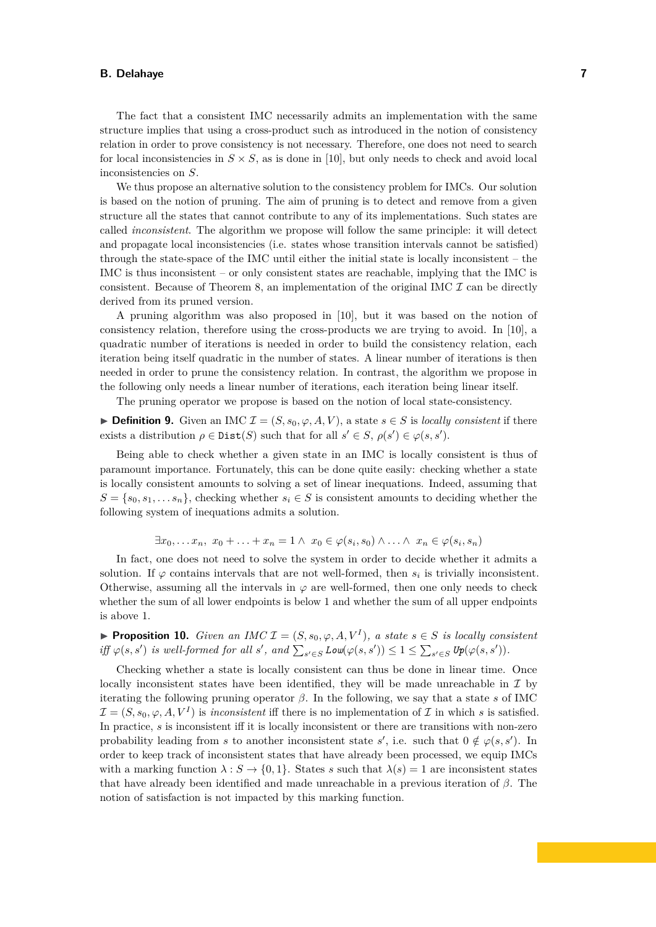The fact that a consistent IMC necessarily admits an implementation with the same structure implies that using a cross-product such as introduced in the notion of consistency relation in order to prove consistency is not necessary. Therefore, one does not need to search for local inconsistencies in  $S \times S$ , as is done in [\[10\]](#page-12-10), but only needs to check and avoid local inconsistencies on *S*.

We thus propose an alternative solution to the consistency problem for IMCs. Our solution is based on the notion of pruning. The aim of pruning is to detect and remove from a given structure all the states that cannot contribute to any of its implementations. Such states are called *inconsistent*. The algorithm we propose will follow the same principle: it will detect and propagate local inconsistencies (i.e. states whose transition intervals cannot be satisfied) through the state-space of the IMC until either the initial state is locally inconsistent – the IMC is thus inconsistent – or only consistent states are reachable, implying that the IMC is consistent. Because of Theorem [8,](#page-5-2) an implementation of the original IMC  $\mathcal I$  can be directly derived from its pruned version.

A pruning algorithm was also proposed in [\[10\]](#page-12-10), but it was based on the notion of consistency relation, therefore using the cross-products we are trying to avoid. In [\[10\]](#page-12-10), a quadratic number of iterations is needed in order to build the consistency relation, each iteration being itself quadratic in the number of states. A linear number of iterations is then needed in order to prune the consistency relation. In contrast, the algorithm we propose in the following only needs a linear number of iterations, each iteration being linear itself.

The pruning operator we propose is based on the notion of local state-consistency.

**▶ Definition 9.** Given an IMC  $\mathcal{I} = (S, s_0, \varphi, A, V)$ , a state  $s \in S$  is *locally consistent* if there exists a distribution  $\rho \in \text{Dist}(S)$  such that for all  $s' \in S$ ,  $\rho(s') \in \varphi(s, s')$ .

Being able to check whether a given state in an IMC is locally consistent is thus of paramount importance. Fortunately, this can be done quite easily: checking whether a state is locally consistent amounts to solving a set of linear inequations. Indeed, assuming that  $S = \{s_0, s_1, \ldots s_n\}$ , checking whether  $s_i \in S$  is consistent amounts to deciding whether the following system of inequations admits a solution.

$$
\exists x_0, \ldots x_n, x_0 + \ldots + x_n = 1 \land x_0 \in \varphi(s_i, s_0) \land \ldots \land x_n \in \varphi(s_i, s_n)
$$

In fact, one does not need to solve the system in order to decide whether it admits a solution. If  $\varphi$  contains intervals that are not well-formed, then  $s_i$  is trivially inconsistent. Otherwise, assuming all the intervals in  $\varphi$  are well-formed, then one only needs to check whether the sum of all lower endpoints is below 1 and whether the sum of all upper endpoints is above 1.

▶ **Proposition 10.** *Given an IMC*  $\mathcal{I} = (S, s_0, \varphi, A, V^I)$ , a state  $s \in S$  is locally consistent  $\inf_{s \in S} \varphi(s, s')$  *is well-formed for all s'*, and  $\sum_{s' \in S} \text{Low}(\varphi(s, s')) \leq 1 \leq \sum_{s' \in S} \text{Up}(\varphi(s, s'))$ .

Checking whether a state is locally consistent can thus be done in linear time. Once locally inconsistent states have been identified, they will be made unreachable in  $\mathcal I$  by iterating the following pruning operator  $\beta$ . In the following, we say that a state *s* of IMC  $\mathcal{I} = (S, s_0, \varphi, A, V^I)$  is *inconsistent* iff there is no implementation of  $\mathcal I$  in which *s* is satisfied. In practice, *s* is inconsistent iff it is locally inconsistent or there are transitions with non-zero probability leading from *s* to another inconsistent state *s*', i.e. such that  $0 \notin \varphi(s, s')$ . In order to keep track of inconsistent states that have already been processed, we equip IMCs with a marking function  $\lambda : S \to \{0,1\}$ . States *s* such that  $\lambda(s) = 1$  are inconsistent states that have already been identified and made unreachable in a previous iteration of *β*. The notion of satisfaction is not impacted by this marking function.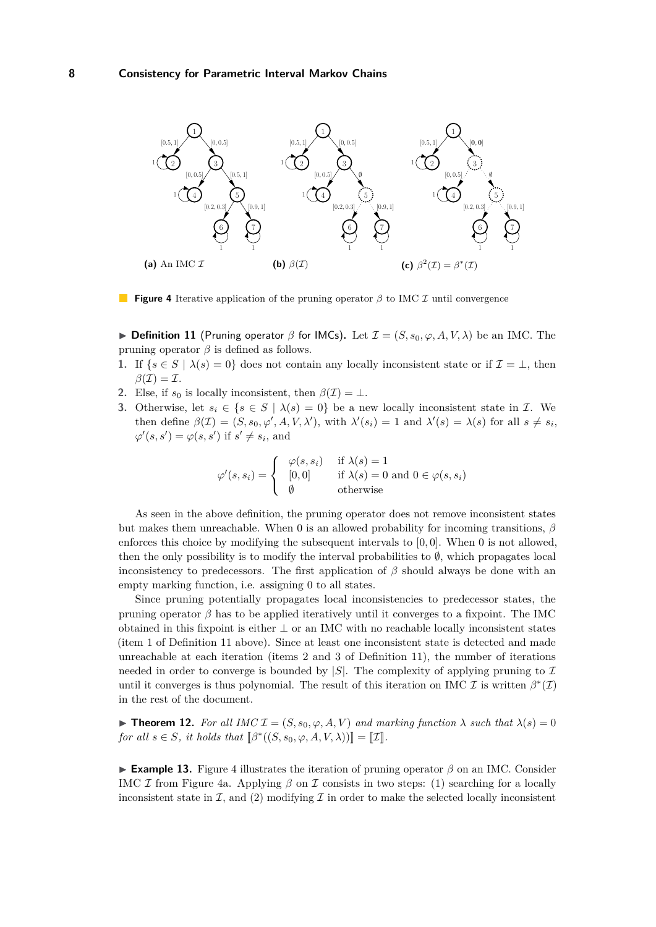<span id="page-7-2"></span><span id="page-7-1"></span>

<span id="page-7-3"></span>**Figure 4** Iterative application of the pruning operator *β* to IMC *I* until convergence

<span id="page-7-0"></span>**Definition 11** (Pruning operator  $\beta$  for IMCs). Let  $\mathcal{I} = (S, s_0, \varphi, A, V, \lambda)$  be an IMC. The pruning operator  $\beta$  is defined as follows.

- **1.** If  $\{s \in S \mid \lambda(s) = 0\}$  does not contain any locally inconsistent state or if  $\mathcal{I} = \bot$ , then  $\beta(\mathcal{I}) = \mathcal{I}.$
- **2.** Else, if  $s_0$  is locally inconsistent, then  $\beta(\mathcal{I}) = \bot$ .
- **3.** Otherwise, let  $s_i \in \{s \in S \mid \lambda(s) = 0\}$  be a new locally inconsistent state in  $\mathcal{I}$ . We then define  $\beta(\mathcal{I}) = (S, s_0, \varphi', A, V, \lambda')$ , with  $\lambda'(s_i) = 1$  and  $\lambda'(s) = \lambda(s)$  for all  $s \neq s_i$ ,  $\varphi'(s, s') = \varphi(s, s')$  if  $s' \neq s_i$ , and

<span id="page-7-4"></span>
$$
\varphi'(s, s_i) = \begin{cases} \varphi(s, s_i) & \text{if } \lambda(s) = 1 \\ [0, 0] & \text{if } \lambda(s) = 0 \text{ and } 0 \in \varphi(s, s_i) \\ \emptyset & \text{otherwise} \end{cases}
$$

As seen in the above definition, the pruning operator does not remove inconsistent states but makes them unreachable. When 0 is an allowed probability for incoming transitions, *β* enforces this choice by modifying the subsequent intervals to [0*,* 0]. When 0 is not allowed, then the only possibility is to modify the interval probabilities to  $\emptyset$ , which propagates local inconsistency to predecessors. The first application of  $\beta$  should always be done with an empty marking function, i.e. assigning 0 to all states.

Since pruning potentially propagates local inconsistencies to predecessor states, the pruning operator  $\beta$  has to be applied iteratively until it converges to a fixpoint. The IMC obtained in this fixpoint is either ⊥ or an IMC with no reachable locally inconsistent states (item 1 of Definition [11](#page-7-0) above). Since at least one inconsistent state is detected and made unreachable at each iteration (items 2 and 3 of Definition [11\)](#page-7-0), the number of iterations needed in order to converge is bounded by  $|S|$ . The complexity of applying pruning to  $\mathcal I$ until it converges is thus polynomial. The result of this iteration on IMC  $\mathcal I$  is written  $\beta^*(\mathcal I)$ in the rest of the document.

<span id="page-7-5"></span>**Find 12.** For all IMC  $\mathcal{I} = (S, s_0, \varphi, A, V)$  and marking function  $\lambda$  such that  $\lambda(s) = 0$ *for all*  $s \in S$ *, it holds that*  $[\beta^*((S, s_0, \varphi, A, V, \lambda))] = [\![\mathcal{I}]\!]$ *.* 

I **Example 13.** Figure [4](#page-7-1) illustrates the iteration of pruning operator *β* on an IMC. Consider IMC I from Figure [4a.](#page-7-2) Applying  $\beta$  on I consists in two steps: (1) searching for a locally inconsistent state in  $\mathcal{I}$ , and (2) modifying  $\mathcal{I}$  in order to make the selected locally inconsistent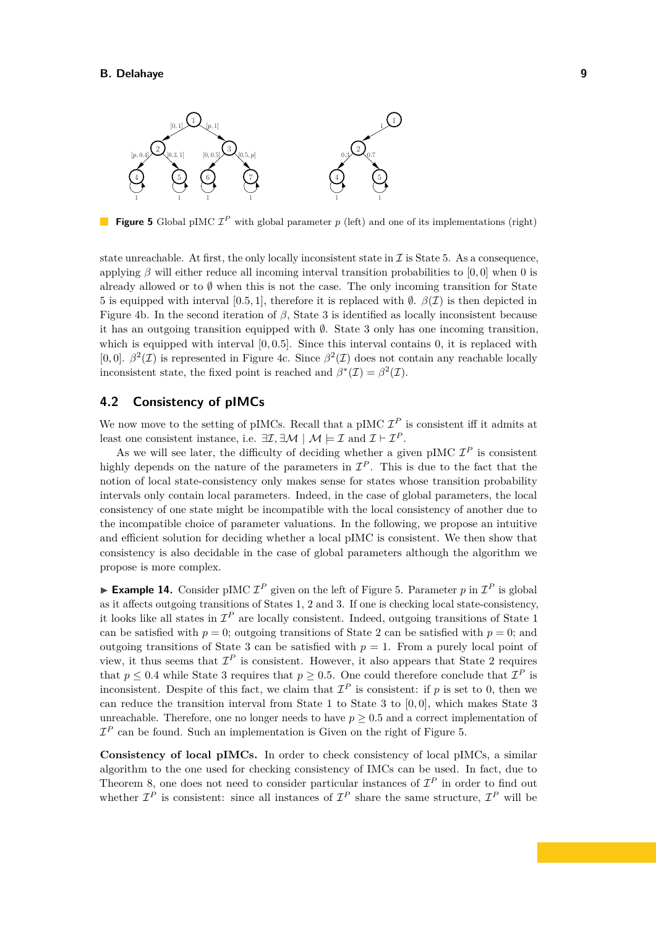<span id="page-8-0"></span>

**Figure 5** Global pIMC  $\mathcal{I}^P$  with global parameter p (left) and one of its implementations (right)

state unreachable. At first, the only locally inconsistent state in  $\mathcal I$  is State 5. As a consequence, applying *β* will either reduce all incoming interval transition probabilities to [0*,* 0] when 0 is already allowed or to  $\emptyset$  when this is not the case. The only incoming transition for State 5 is equipped with interval [0.5*,* 1], therefore it is replaced with  $\emptyset$ .  $\beta(\mathcal{I})$  is then depicted in Figure [4b.](#page-7-3) In the second iteration of *β*, State 3 is identified as locally inconsistent because it has an outgoing transition equipped with  $\emptyset$ . State 3 only has one incoming transition, which is equipped with interval  $[0, 0.5]$ . Since this interval contains 0, it is replaced with [0,0].  $\beta^2(\mathcal{I})$  is represented in Figure [4c.](#page-7-4) Since  $\beta^2(\mathcal{I})$  does not contain any reachable locally inconsistent state, the fixed point is reached and  $\beta^*(\mathcal{I}) = \beta^2(\mathcal{I})$ .

## **4.2 Consistency of pIMCs**

We now move to the setting of pIMCs. Recall that a pIMC  $\mathcal{I}^P$  is consistent iff it admits at least one consistent instance, i.e.  $\exists \mathcal{I}, \exists \mathcal{M} \mid \mathcal{M} \models \mathcal{I}$  and  $\mathcal{I} \models \mathcal{I}^P$ .

As we will see later, the difficulty of deciding whether a given pIMC  $\mathcal{I}^P$  is consistent highly depends on the nature of the parameters in  $\mathcal{I}^P$ . This is due to the fact that the notion of local state-consistency only makes sense for states whose transition probability intervals only contain local parameters. Indeed, in the case of global parameters, the local consistency of one state might be incompatible with the local consistency of another due to the incompatible choice of parameter valuations. In the following, we propose an intuitive and efficient solution for deciding whether a local pIMC is consistent. We then show that consistency is also decidable in the case of global parameters although the algorithm we propose is more complex.

<span id="page-8-1"></span>**Example 14.** Consider pIMC  $\mathcal{I}^P$  given on the left of Figure [5.](#page-8-0) Parameter p in  $\mathcal{I}^P$  is global as it affects outgoing transitions of States 1, 2 and 3. If one is checking local state-consistency, it looks like all states in  $\mathcal{I}^P$  are locally consistent. Indeed, outgoing transitions of State 1 can be satisfied with  $p = 0$ ; outgoing transitions of State 2 can be satisfied with  $p = 0$ ; and outgoing transitions of State 3 can be satisfied with  $p = 1$ . From a purely local point of view, it thus seems that  $\mathcal{I}^P$  is consistent. However, it also appears that State 2 requires that  $p \leq 0.4$  while State 3 requires that  $p \geq 0.5$ . One could therefore conclude that  $\mathcal{I}^P$  is inconsistent. Despite of this fact, we claim that  $\mathcal{I}^P$  is consistent: if p is set to 0, then we can reduce the transition interval from State 1 to State 3 to [0*,* 0], which makes State 3 unreachable. Therefore, one no longer needs to have  $p \geq 0.5$  and a correct implementation of  $\mathcal{I}^P$  can be found. Such an implementation is Given on the right of Figure [5.](#page-8-0)

**Consistency of local pIMCs.** In order to check consistency of local pIMCs, a similar algorithm to the one used for checking consistency of IMCs can be used. In fact, due to Theorem [8,](#page-5-2) one does not need to consider particular instances of  $\mathcal{I}^P$  in order to find out whether  $\mathcal{I}^P$  is consistent: since all instances of  $\mathcal{I}^P$  share the same structure,  $\mathcal{I}^P$  will be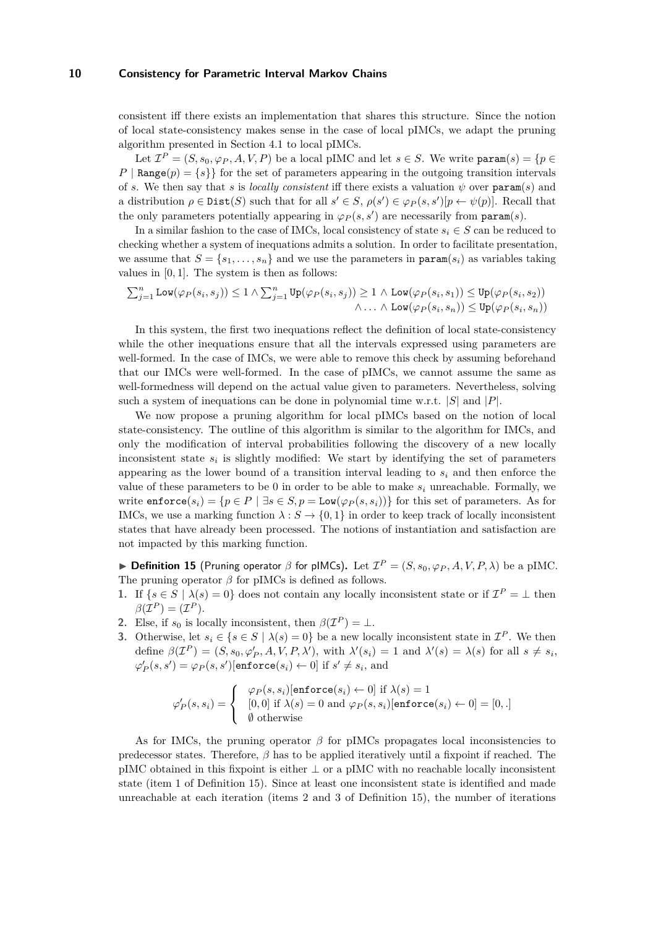consistent iff there exists an implementation that shares this structure. Since the notion of local state-consistency makes sense in the case of local pIMCs, we adapt the pruning algorithm presented in Section [4.1](#page-5-3) to local pIMCs.

Let  $\mathcal{I}^P = (S, s_0, \varphi_P, A, V, P)$  be a local pIMC and let  $s \in S$ . We write  $\text{param}(s) = \{p \in$  $P | \text{Range}(p) = \{s\} \}$  for the set of parameters appearing in the outgoing transition intervals of *s*. We then say that *s* is *locally consistent* iff there exists a valuation  $\psi$  over param(*s*) and a distribution  $\rho \in \text{Dist}(S)$  such that for all  $s' \in S$ ,  $\rho(s') \in \varphi_P(s, s')[p \leftarrow \psi(p)]$ . Recall that the only parameters potentially appearing in  $\varphi_P(s, s')$  are necessarily from param $(s)$ .

In a similar fashion to the case of IMCs, local consistency of state  $s_i \in S$  can be reduced to checking whether a system of inequations admits a solution. In order to facilitate presentation, we assume that  $S = \{s_1, \ldots, s_n\}$  and we use the parameters in param $(s_i)$  as variables taking values in [0*,* 1]. The system is then as follows:

$$
\sum_{j=1}^n \text{Low}(\varphi_P(s_i, s_j)) \le 1 \land \sum_{j=1}^n \text{Up}(\varphi_P(s_i, s_j)) \ge 1 \land \text{Low}(\varphi_P(s_i, s_1)) \le \text{Up}(\varphi_P(s_i, s_2))
$$
  

$$
\land \dots \land \text{Low}(\varphi_P(s_i, s_n)) \le \text{Up}(\varphi_P(s_i, s_n))
$$

In this system, the first two inequations reflect the definition of local state-consistency while the other inequations ensure that all the intervals expressed using parameters are well-formed. In the case of IMCs, we were able to remove this check by assuming beforehand that our IMCs were well-formed. In the case of pIMCs, we cannot assume the same as well-formedness will depend on the actual value given to parameters. Nevertheless, solving such a system of inequations can be done in polynomial time w.r.t. |*S*| and |*P*|.

We now propose a pruning algorithm for local pIMCs based on the notion of local state-consistency. The outline of this algorithm is similar to the algorithm for IMCs, and only the modification of interval probabilities following the discovery of a new locally inconsistent state  $s_i$  is slightly modified: We start by identifying the set of parameters appearing as the lower bound of a transition interval leading to  $s_i$  and then enforce the value of these parameters to be 0 in order to be able to make  $s_i$  unreachable. Formally, we write  $\text{entorce}(s_i) = \{p \in P \mid \exists s \in S, p = \text{Low}(\varphi_P(s, s_i))\}$  for this set of parameters. As for IMCs, we use a marking function  $\lambda : S \to \{0,1\}$  in order to keep track of locally inconsistent states that have already been processed. The notions of instantiation and satisfaction are not impacted by this marking function.

<span id="page-9-0"></span>**Definition 15** (Pruning operator  $\beta$  for pIMCs). Let  $\mathcal{I}^P = (S, s_0, \varphi_P, A, V, P, \lambda)$  be a pIMC. The pruning operator *β* for pIMCs is defined as follows.

- **1.** If  $\{s \in S \mid \lambda(s) = 0\}$  does not contain any locally inconsistent state or if  $\mathcal{I}^P = \bot$  then  $\beta(\mathcal{I}^P) = (\mathcal{I}^P).$
- **2.** Else, if  $s_0$  is locally inconsistent, then  $\beta(\mathcal{I}^P) = \bot$ .
- **3.** Otherwise, let  $s_i \in \{s \in S \mid \lambda(s) = 0\}$  be a new locally inconsistent state in  $\mathcal{I}^P$ . We then define  $\beta(\mathcal{I}^P) = (S, s_0, \varphi'_P, A, V, P, \lambda'),$  with  $\lambda'(s_i) = 1$  and  $\lambda'(s) = \lambda(s)$  for all  $s \neq s_i$ ,  $\varphi'_{P}(s, s') = \varphi_{P}(s, s')$ [enforce $(s_i) \leftarrow 0$ ] if  $s' \neq s_i$ , and

$$
\varphi'_P(s, s_i) = \begin{cases} \varphi_P(s, s_i) [\text{enforce}(s_i) \leftarrow 0] \text{ if } \lambda(s) = 1 \\ [0, 0] \text{ if } \lambda(s) = 0 \text{ and } \varphi_P(s, s_i) [\text{enforce}(s_i) \leftarrow 0] = [0, .] \\ \emptyset \text{ otherwise} \end{cases}
$$

As for IMCs, the pruning operator  $\beta$  for pIMCs propagates local inconsistencies to predecessor states. Therefore, *β* has to be applied iteratively until a fixpoint if reached. The pIMC obtained in this fixpoint is either ⊥ or a pIMC with no reachable locally inconsistent state (item 1 of Definition [15\)](#page-9-0). Since at least one inconsistent state is identified and made unreachable at each iteration (items 2 and 3 of Definition [15\)](#page-9-0), the number of iterations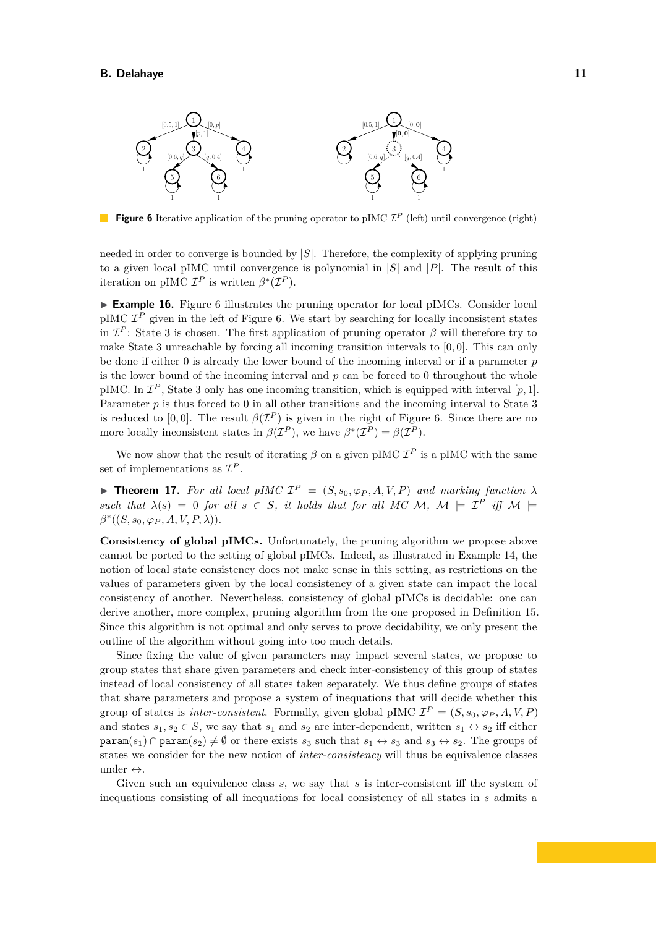<span id="page-10-0"></span>

**Figure 6** Iterative application of the pruning operator to pIMC  $\mathcal{I}^P$  (left) until convergence (right)

needed in order to converge is bounded by |*S*|. Therefore, the complexity of applying pruning to a given local pIMC until convergence is polynomial in |*S*| and |*P*|. The result of this iteration on pIMC  $\mathcal{I}^P$  is written  $\beta^*(\mathcal{I}^P)$ .

► **Example 16.** Figure [6](#page-10-0) illustrates the pruning operator for local pIMCs. Consider local  $pIMC$   $\mathcal{I}^P$  given in the left of Figure [6.](#page-10-0) We start by searching for locally inconsistent states in  $\mathcal{I}^P$ : State 3 is chosen. The first application of pruning operator  $\beta$  will therefore try to make State 3 unreachable by forcing all incoming transition intervals to [0*,* 0]. This can only be done if either 0 is already the lower bound of the incoming interval or if a parameter *p* is the lower bound of the incoming interval and *p* can be forced to 0 throughout the whole pIMC. In  $\mathcal{I}^P$ , State 3 only has one incoming transition, which is equipped with interval  $[p, 1]$ . Parameter *p* is thus forced to 0 in all other transitions and the incoming interval to State 3 is reduced to [0,0]. The result  $\beta(\mathcal{I}^P)$  is given in the right of Figure [6.](#page-10-0) Since there are no more locally inconsistent states in  $\beta(\mathcal{I}^P)$ , we have  $\beta^*(\mathcal{I}^P) = \beta(\mathcal{I}^P)$ .

We now show that the result of iterating  $\beta$  on a given pIMC  $\mathcal{I}^P$  is a pIMC with the same set of implementations as I *P* .

<span id="page-10-1"></span>**Find 17.** For all local pIMC  $\mathcal{I}^P = (S, s_0, \varphi_P, A, V, P)$  and marking function  $\lambda$ *such that*  $\lambda(s) = 0$  *for all*  $s \in S$ *, it holds that for all MC M, M*  $\models$  *I*<sup>*P*</sup> *iff* M  $\models$  $\beta^*((S, s_0, \varphi_P, A, V, P, \lambda)).$ 

**Consistency of global pIMCs.** Unfortunately, the pruning algorithm we propose above cannot be ported to the setting of global pIMCs. Indeed, as illustrated in Example [14,](#page-8-1) the notion of local state consistency does not make sense in this setting, as restrictions on the values of parameters given by the local consistency of a given state can impact the local consistency of another. Nevertheless, consistency of global pIMCs is decidable: one can derive another, more complex, pruning algorithm from the one proposed in Definition [15.](#page-9-0) Since this algorithm is not optimal and only serves to prove decidability, we only present the outline of the algorithm without going into too much details.

Since fixing the value of given parameters may impact several states, we propose to group states that share given parameters and check inter-consistency of this group of states instead of local consistency of all states taken separately. We thus define groups of states that share parameters and propose a system of inequations that will decide whether this group of states is *inter-consistent*. Formally, given global pIMC  $\mathcal{I}^P = (S, s_0, \varphi_P, A, V, P)$ and states  $s_1, s_2 \in S$ , we say that  $s_1$  and  $s_2$  are inter-dependent, written  $s_1 \leftrightarrow s_2$  iff either  $\text{param}(s_1) \cap \text{param}(s_2) \neq \emptyset$  or there exists  $s_3$  such that  $s_1 \leftrightarrow s_3$  and  $s_3 \leftrightarrow s_2$ . The groups of states we consider for the new notion of *inter-consistency* will thus be equivalence classes under  $\leftrightarrow$ .

Given such an equivalence class  $\bar{s}$ , we say that  $\bar{s}$  is inter-consistent iff the system of inequations consisting of all inequations for local consistency of all states in *s* admits a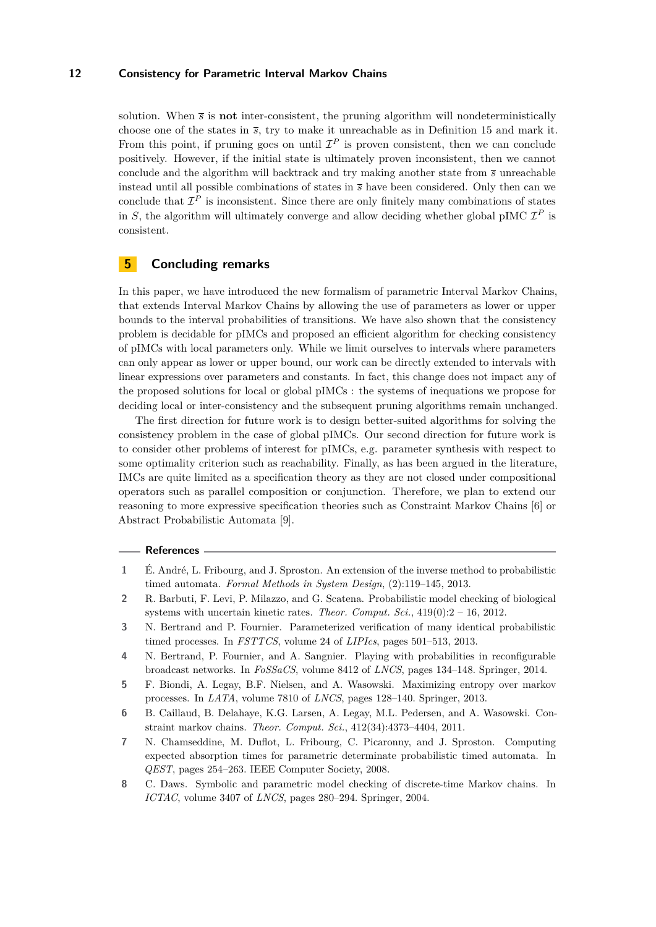solution. When  $\bar{s}$  is **not** inter-consistent, the pruning algorithm will nondeterministically choose one of the states in *s*, try to make it unreachable as in Definition [15](#page-9-0) and mark it. From this point, if pruning goes on until  $\mathcal{I}^P$  is proven consistent, then we can conclude positively. However, if the initial state is ultimately proven inconsistent, then we cannot conclude and the algorithm will backtrack and try making another state from *s* unreachable instead until all possible combinations of states in *s* have been considered. Only then can we conclude that  $\mathcal{I}^P$  is inconsistent. Since there are only finitely many combinations of states in *S*, the algorithm will ultimately converge and allow deciding whether global pIMC  $\mathcal{I}^P$  is consistent.

# **5 Concluding remarks**

In this paper, we have introduced the new formalism of parametric Interval Markov Chains, that extends Interval Markov Chains by allowing the use of parameters as lower or upper bounds to the interval probabilities of transitions. We have also shown that the consistency problem is decidable for pIMCs and proposed an efficient algorithm for checking consistency of pIMCs with local parameters only. While we limit ourselves to intervals where parameters can only appear as lower or upper bound, our work can be directly extended to intervals with linear expressions over parameters and constants. In fact, this change does not impact any of the proposed solutions for local or global pIMCs : the systems of inequations we propose for deciding local or inter-consistency and the subsequent pruning algorithms remain unchanged.

The first direction for future work is to design better-suited algorithms for solving the consistency problem in the case of global pIMCs. Our second direction for future work is to consider other problems of interest for pIMCs, e.g. parameter synthesis with respect to some optimality criterion such as reachability. Finally, as has been argued in the literature, IMCs are quite limited as a specification theory as they are not closed under compositional operators such as parallel composition or conjunction. Therefore, we plan to extend our reasoning to more expressive specification theories such as Constraint Markov Chains [\[6\]](#page-11-0) or Abstract Probabilistic Automata [\[9\]](#page-12-1).

#### **References**

- <span id="page-11-7"></span>**1** É. André, L. Fribourg, and J. Sproston. An extension of the inverse method to probabilistic timed automata. *Formal Methods in System Design*, (2):119–145, 2013.
- <span id="page-11-1"></span>**2** R. Barbuti, F. Levi, P. Milazzo, and G. Scatena. Probabilistic model checking of biological systems with uncertain kinetic rates. *Theor. Comput. Sci.*, 419(0):2 – 16, 2012.
- <span id="page-11-5"></span>**3** N. Bertrand and P. Fournier. Parameterized verification of many identical probabilistic timed processes. In *FSTTCS*, volume 24 of *LIPIcs*, pages 501–513, 2013.
- <span id="page-11-6"></span>**4** N. Bertrand, P. Fournier, and A. Sangnier. Playing with probabilities in reconfigurable broadcast networks. In *FoSSaCS*, volume 8412 of *LNCS*, pages 134–148. Springer, 2014.
- <span id="page-11-2"></span>**5** F. Biondi, A. Legay, B.F. Nielsen, and A. Wasowski. Maximizing entropy over markov processes. In *LATA*, volume 7810 of *LNCS*, pages 128–140. Springer, 2013.
- <span id="page-11-0"></span>**6** B. Caillaud, B. Delahaye, K.G. Larsen, A. Legay, M.L. Pedersen, and A. Wasowski. Constraint markov chains. *Theor. Comput. Sci.*, 412(34):4373–4404, 2011.
- <span id="page-11-4"></span>**7** N. Chamseddine, M. Duflot, L. Fribourg, C. Picaronny, and J. Sproston. Computing expected absorption times for parametric determinate probabilistic timed automata. In *QEST*, pages 254–263. IEEE Computer Society, 2008.
- <span id="page-11-3"></span>**8** C. Daws. Symbolic and parametric model checking of discrete-time Markov chains. In *ICTAC*, volume 3407 of *LNCS*, pages 280–294. Springer, 2004.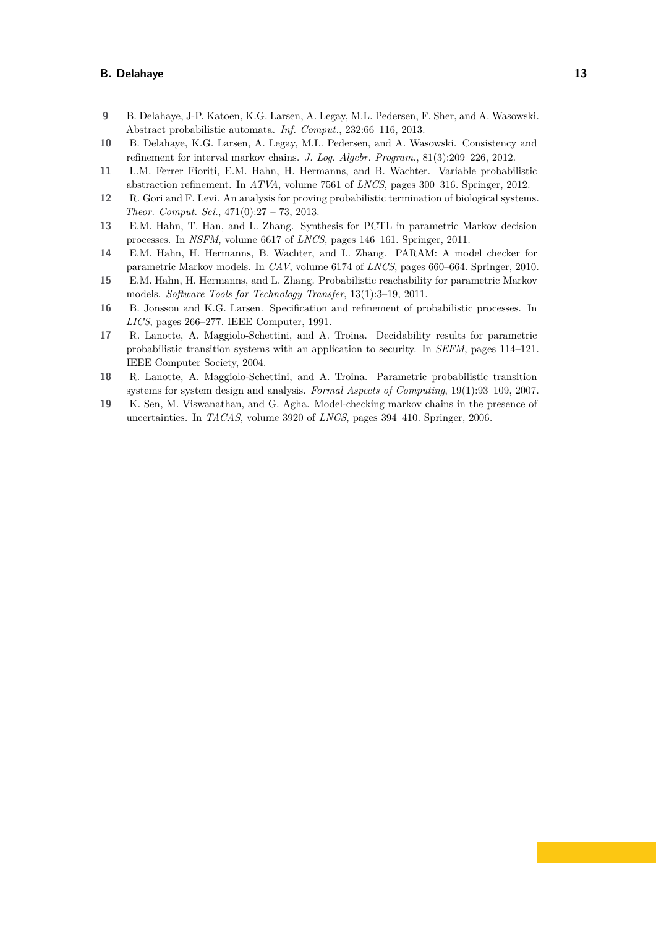- <span id="page-12-1"></span>**9** B. Delahaye, J-P. Katoen, K.G. Larsen, A. Legay, M.L. Pedersen, F. Sher, and A. Wasowski. Abstract probabilistic automata. *Inf. Comput.*, 232:66–116, 2013.
- <span id="page-12-10"></span>**10** B. Delahaye, K.G. Larsen, A. Legay, M.L. Pedersen, and A. Wasowski. Consistency and refinement for interval markov chains. *J. Log. Algebr. Program.*, 81(3):209–226, 2012.
- <span id="page-12-4"></span>**11** L.M. Ferrer Fioriti, E.M. Hahn, H. Hermanns, and B. Wachter. Variable probabilistic abstraction refinement. In *ATVA*, volume 7561 of *LNCS*, pages 300–316. Springer, 2012.
- <span id="page-12-2"></span>**12** R. Gori and F. Levi. An analysis for proving probabilistic termination of biological systems. *Theor. Comput. Sci.*, 471(0):27 – 73, 2013.
- <span id="page-12-7"></span>**13** E.M. Hahn, T. Han, and L. Zhang. Synthesis for PCTL in parametric Markov decision processes. In *NSFM*, volume 6617 of *LNCS*, pages 146–161. Springer, 2011.
- <span id="page-12-9"></span>**14** E.M. Hahn, H. Hermanns, B. Wachter, and L. Zhang. PARAM: A model checker for parametric Markov models. In *CAV*, volume 6174 of *LNCS*, pages 660–664. Springer, 2010.
- <span id="page-12-8"></span>**15** E.M. Hahn, H. Hermanns, and L. Zhang. Probabilistic reachability for parametric Markov models. *Software Tools for Technology Transfer*, 13(1):3–19, 2011.
- <span id="page-12-0"></span>**16** B. Jonsson and K.G. Larsen. Specification and refinement of probabilistic processes. In *LICS*, pages 266–277. IEEE Computer, 1991.
- <span id="page-12-5"></span>**17** R. Lanotte, A. Maggiolo-Schettini, and A. Troina. Decidability results for parametric probabilistic transition systems with an application to security. In *SEFM*, pages 114–121. IEEE Computer Society, 2004.
- <span id="page-12-6"></span>**18** R. Lanotte, A. Maggiolo-Schettini, and A. Troina. Parametric probabilistic transition systems for system design and analysis. *Formal Aspects of Computing*, 19(1):93–109, 2007.
- <span id="page-12-3"></span>**19** K. Sen, M. Viswanathan, and G. Agha. Model-checking markov chains in the presence of uncertainties. In *TACAS*, volume 3920 of *LNCS*, pages 394–410. Springer, 2006.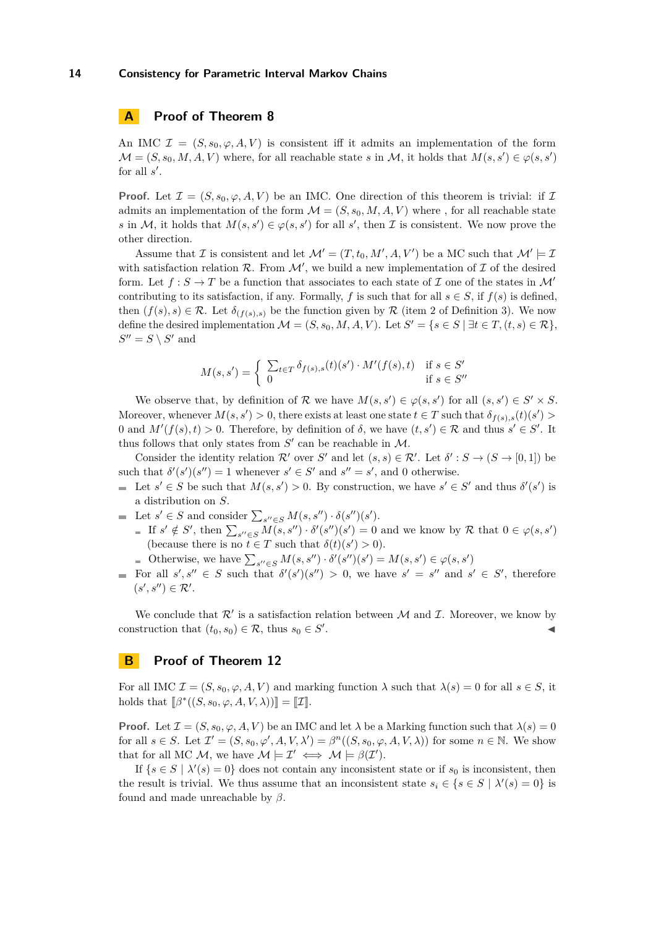# **A Proof of Theorem [8](#page-5-2)**

An IMC  $\mathcal{I} = (S, s_0, \varphi, A, V)$  is consistent iff it admits an implementation of the form  $\mathcal{M} = (S, s_0, M, A, V)$  where, for all reachable state *s* in M, it holds that  $M(s, s') \in \varphi(s, s')$ for all  $s'$ .

**Proof.** Let  $\mathcal{I} = (S, s_0, \varphi, A, V)$  be an IMC. One direction of this theorem is trivial: if  $\mathcal{I}$ admits an implementation of the form  $\mathcal{M} = (S, s_0, M, A, V)$  where, for all reachable state *s* in M, it holds that  $M(s, s') \in \varphi(s, s')$  for all *s*', then *I* is consistent. We now prove the other direction.

Assume that  $\mathcal I$  is consistent and let  $\mathcal M' = (T, t_0, M', A, V')$  be a MC such that  $\mathcal M' \models \mathcal I$ with satisfaction relation  $\mathcal{R}$ . From  $\mathcal{M}'$ , we build a new implementation of  $\mathcal I$  of the desired form. Let  $f : S \to T$  be a function that associates to each state of  $\mathcal I$  one of the states in  $\mathcal M'$ contributing to its satisfaction, if any. Formally, *f* is such that for all  $s \in S$ , if  $f(s)$  is defined, then  $(f(s), s) \in \mathcal{R}$ . Let  $\delta_{(f(s), s)}$  be the function given by  $\mathcal R$  (item 2 of Definition [3\)](#page-2-0). We now define the desired implementation  $\mathcal{M} = (S, s_0, M, A, V)$ . Let  $S' = \{s \in S \mid \exists t \in T, (t, s) \in \mathcal{R}\},$  $S'' = S \setminus S'$  and

$$
M(s, s') = \begin{cases} \sum_{t \in T} \delta_{f(s), s}(t)(s') \cdot M'(f(s), t) & \text{if } s \in S' \\ 0 & \text{if } s \in S'' \end{cases}
$$

We observe that, by definition of R we have  $M(s, s') \in \varphi(s, s')$  for all  $(s, s') \in S' \times S$ . Moreover, whenever  $M(s, s') > 0$ , there exists at least one state  $t \in T$  such that  $\delta_{f(s),s}(t)(s') > 0$ 0 and  $M'(f(s), t) > 0$ . Therefore, by definition of  $\delta$ , we have  $(t, s') \in \mathcal{R}$  and thus  $s' \in S'$ . It thus follows that only states from  $S'$  can be reachable in  $M$ .

Consider the identity relation  $\mathcal{R}'$  over *S'* and let  $(s, s) \in \mathcal{R}'$ . Let  $\delta' : S \to (S \to [0, 1])$  be such that  $\delta'(s')(s'') = 1$  whenever  $s' \in S'$  and  $s'' = s'$ , and 0 otherwise.

- Let  $s' \in S$  be such that  $M(s, s') > 0$ . By construction, we have  $s' \in S'$  and thus  $\delta'(s')$  is a distribution on *S*.
- Let  $s' \in S$  and consider  $\sum_{s'' \in S} M(s, s'') \cdot \delta(s'')(s')$ .
	- If  $s' \notin S'$ , then  $\sum_{s'' \in S} M(s, s'') \cdot \delta'(s'') = 0$  and we know by R that  $0 \in \varphi(s, s')$ (because there is no  $t \in T$  such that  $\delta(t)(s') > 0$ ).
	- Otherwise, we have  $\sum_{s'' \in S} M(s, s'') \cdot \delta'(s'') = M(s, s') \in \varphi(s, s')$
- For all  $s', s'' \in S$  such that  $\delta'(s')(s'') > 0$ , we have  $s' = s''$  and  $s' \in S'$ , therefore  $(s', s'') \in \mathcal{R}'.$

We conclude that  $\mathcal{R}'$  is a satisfaction relation between  $\mathcal M$  and  $\mathcal I$ . Moreover, we know by construction that  $(t_0, s_0) \in \mathcal{R}$ , thus  $s_0 \in S'$ . John Paris, John Paris, John Paris, John Paris, John Paris, John Paris, John Paris, John Paris, John Paris,

## **B Proof of Theorem [12](#page-7-5)**

For all IMC  $\mathcal{I} = (S, s_0, \varphi, A, V)$  and marking function  $\lambda$  such that  $\lambda(s) = 0$  for all  $s \in S$ , it holds that  $[\![\beta^*((S, s_0, \varphi, A, V, \lambda))] = [\![\mathcal{I}]\!]$ .

**Proof.** Let  $\mathcal{I} = (S, s_0, \varphi, A, V)$  be an IMC and let  $\lambda$  be a Marking function such that  $\lambda(s) = 0$ for all  $s \in S$ . Let  $\mathcal{I}' = (S, s_0, \varphi', A, V, \lambda') = \beta^n((S, s_0, \varphi, A, V, \lambda))$  for some  $n \in \mathbb{N}$ . We show that for all MC M, we have  $M \models \mathcal{I}' \iff M \models \beta(\mathcal{I}')$ .

If  $\{s \in S \mid \lambda'(s) = 0\}$  does not contain any inconsistent state or if  $s_0$  is inconsistent, then the result is trivial. We thus assume that an inconsistent state  $s_i \in \{s \in S \mid \lambda'(s) = 0\}$  is found and made unreachable by *β*.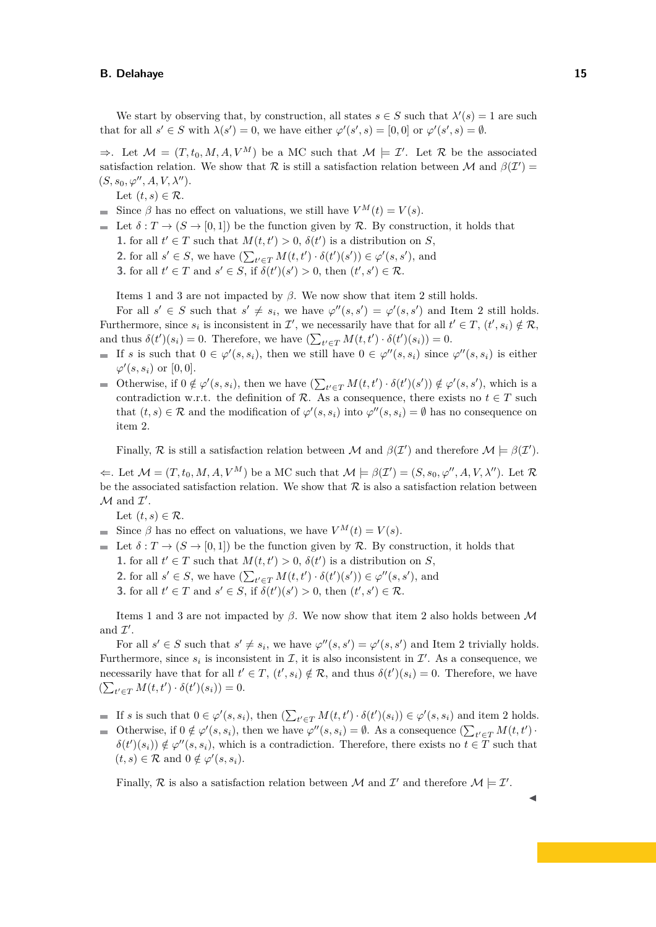We start by observing that, by construction, all states  $s \in S$  such that  $\lambda'(s) = 1$  are such that for all  $s' \in S$  with  $\lambda(s') = 0$ , we have either  $\varphi'(s', s) = [0, 0]$  or  $\varphi'(s', s) = \emptyset$ .

 $\Rightarrow$ . Let  $\mathcal{M} = (T, t_0, M, A, V^M)$  be a MC such that  $\mathcal{M} \models \mathcal{I}'$ . Let R be the associated satisfaction relation. We show that R is still a satisfaction relation between M and  $\beta(\mathcal{I}')$  =  $(S, s_0, \varphi'', A, V, \lambda'').$ 

Let  $(t, s) \in \mathcal{R}$ .

- Since  $\beta$  has no effect on valuations, we still have  $V^M(t) = V(s)$ .
- Let  $\delta: T \to (S \to [0,1])$  be the function given by R. By construction, it holds that **1.** for all  $t' \in T$  such that  $M(t, t') > 0$ ,  $\delta(t')$  is a distribution on *S*, **2.** for all  $s' \in S$ , we have  $\left(\sum_{t' \in T} M(t, t') \cdot \delta(t')\right) \in \varphi'(s, s')$ , and **3.** for all  $t' \in T$  and  $s' \in S$ , if  $\delta(t')(s') > 0$ , then  $(t', s') \in \mathcal{R}$ .

Items 1 and 3 are not impacted by  $\beta$ . We now show that item 2 still holds.

For all  $s' \in S$  such that  $s' \neq s_i$ , we have  $\varphi''(s, s') = \varphi'(s, s')$  and Item 2 still holds. Furthermore, since  $s_i$  is inconsistent in  $\mathcal{I}'$ , we necessarily have that for all  $t' \in T$ ,  $(t', s_i) \notin \mathcal{R}$ , and thus  $\delta(t')(s_i) = 0$ . Therefore, we have  $\left(\sum_{t' \in T} M(t, t') \cdot \delta(t')(s_i)\right) = 0$ .

- If *s* is such that  $0 \in \varphi'(s, s_i)$ , then we still have  $0 \in \varphi''(s, s_i)$  since  $\varphi''(s, s_i)$  is either  $\varphi'(s, s_i)$  or  $[0, 0]$ .
- Otherwise, if  $0 \notin \varphi'(s, s_i)$ , then we have  $\left(\sum_{t' \in T} M(t, t') \cdot \delta(t')(s')\right) \notin \varphi'(s, s')$ , which is a contradiction w.r.t. the definition of R. As a consequence, there exists no  $t \in T$  such that  $(t, s) \in \mathcal{R}$  and the modification of  $\varphi'(s, s_i)$  into  $\varphi''(s, s_i) = \emptyset$  has no consequence on item 2.

Finally, R is still a satisfaction relation between M and  $\beta(\mathcal{I}')$  and therefore  $\mathcal{M} \models \beta(\mathcal{I}')$ .

 $\Leftarrow$ . Let  $\mathcal{M} = (T, t_0, M, A, V^M)$  be a MC such that  $\mathcal{M} \models \beta(\mathcal{I}') = (S, s_0, \varphi'', A, V, \lambda'')$ . Let  $\mathcal{R}$ be the associated satisfaction relation. We show that  $R$  is also a satisfaction relation between  $\mathcal M$  and  $\mathcal I'.$ 

Let  $(t, s) \in \mathcal{R}$ .

 $(t, s) \in \mathcal{R}$  and  $0 \notin \varphi'(s, s_i)$ .

- Since  $\beta$  has no effect on valuations, we have  $V^M(t) = V(s)$ .  $\sim$
- $\blacksquare$  Let  $\delta: T \to (S \to [0,1])$  be the function given by R. By construction, it holds that **1.** for all  $t' \in T$  such that  $M(t, t') > 0$ ,  $\delta(t')$  is a distribution on *S*,
	- **2.** for all  $s' \in S$ , we have  $\left(\sum_{t' \in T} M(t, t') \cdot \delta(t')(\mathbf{s}')\right) \in \varphi''(\mathbf{s}, \mathbf{s}')$ , and
	- **3.** for all  $t' \in T$  and  $s' \in S$ , if  $\delta(t')(s') > 0$ , then  $(t', s') \in \mathcal{R}$ .

Items 1 and 3 are not impacted by *β*. We now show that item 2 also holds between M and  $\mathcal{I}'$ .

For all  $s' \in S$  such that  $s' \neq s_i$ , we have  $\varphi''(s, s') = \varphi'(s, s')$  and Item 2 trivially holds. Furthermore, since  $s_i$  is inconsistent in  $\mathcal{I}$ , it is also inconsistent in  $\mathcal{I}'$ . As a consequence, we necessarily have that for all  $t' \in T$ ,  $(t', s_i) \notin \mathcal{R}$ , and thus  $\delta(t')(s_i) = 0$ . Therefore, we have  $(\sum_{t' \in T} M(t, t') \cdot \delta(t') (s_i)) = 0.$ 

If *s* is such that  $0 \in \varphi'(s, s_i)$ , then  $\left(\sum_{t' \in T} M(t, t') \cdot \delta(t')(s_i)\right) \in \varphi'(s, s_i)$  and item 2 holds. Otherwise, if  $0 \notin \varphi'(s, s_i)$ , then we have  $\varphi''(s, s_i) = \emptyset$ . As a consequence  $\left(\sum_{t' \in T} M(t, t')\right)$ .

 $\delta(t')(s_i) \notin \varphi''(s, s_i)$ , which is a contradiction. Therefore, there exists no  $t \in T$  such that

Finally, R is also a satisfaction relation between M and  $\mathcal{I}'$  and therefore  $\mathcal{M} \models \mathcal{I}'$ .